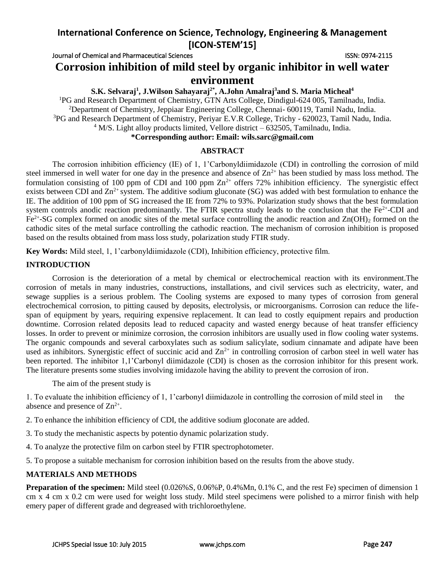Journal of Chemical and Pharmaceutical Sciences **ISSN: 0974-2115** ISSN: 0974-2115

# **Corrosion inhibition of mild steel by organic inhibitor in well water environment**

**S.K. Selvaraj<sup>1</sup> , J.Wilson Sahayaraj2\*, A.John Amalraj<sup>3</sup>and S. Maria Micheal<sup>4</sup>**

PG and Research Department of Chemistry, GTN Arts College, Dindigul-624 005, Tamilnadu, India. Department of Chemistry, Jeppiaar Engineering College, Chennai- 600119, Tamil Nadu, India. PG and Research Department of Chemistry, Periyar E.V.R College, Trichy - 620023, Tamil Nadu, India. M/S. Light alloy products limited, Vellore district – 632505, Tamilnadu, India. **\*Corresponding author: Email: wils.sarc@gmail.com**

## **ABSTRACT**

The corrosion inhibition efficiency (IE) of 1, 1'Carbonyldiimidazole (CDI) in controlling the corrosion of mild steel immersed in well water for one day in the presence and absence of  $\text{Zn}^2$ + has been studied by mass loss method. The formulation consisting of 100 ppm of CDI and 100 ppm  $\text{Zn}^{2+}$  offers 72% inhibition efficiency. The synergistic effect exists between CDI and  $Zn^{2+}$  system. The additive sodium gluconate (SG) was added with best formulation to enhance the IE. The addition of 100 ppm of SG increased the IE from 72% to 93%. Polarization study shows that the best formulation system controls anodic reaction predominantly. The FTIR spectra study leads to the conclusion that the  $Fe<sup>2+</sup>-CDI$  and  $Fe<sup>2+</sup>$ -SG complex formed on anodic sites of the metal surface controlling the anodic reaction and  $Zn(OH)<sub>2</sub>$  formed on the cathodic sites of the metal surface controlling the cathodic reaction. The mechanism of corrosion inhibition is proposed based on the results obtained from mass loss study, polarization study FTIR study.

**Key Words:** Mild steel, 1, 1'carbonyldiimidazole (CDI), Inhibition efficiency, protective film.

### **INTRODUCTION**

Corrosion is the deterioration of a metal by chemical or electrochemical reaction with its environment.The corrosion of metals in many industries, constructions, installations, and civil services such as electricity, water, and sewage supplies is a serious problem. The Cooling systems are exposed to many types of corrosion from general electrochemical corrosion, to pitting caused by deposits, electrolysis, or microorganisms. Corrosion can reduce the lifespan of equipment by years, requiring expensive replacement. It can lead to costly equipment repairs and production downtime. Corrosion related deposits lead to reduced capacity and wasted energy because of heat transfer efficiency losses. In order to prevent or minimize corrosion, the corrosion inhibitors are usually used in flow cooling water systems. The organic compounds and several carboxylates such as sodium salicylate, sodium cinnamate and adipate have been used as inhibitors. Synergistic effect of succinic acid and  $Zn^{2+}$  in controlling corrosion of carbon steel in well water has been reported. The inhibitor 1,1'Carbonyl diimidazole (CDI) is chosen as the corrosion inhibitor for this present work. The literature presents some studies involving imidazole having the ability to prevent the corrosion of iron.

The aim of the present study is

1. To evaluate the inhibition efficiency of 1, 1'carbonyl diimidazole in controlling the corrosion of mild steel in the absence and presence of  $\text{Zn}^{2+}$ .

2. To enhance the inhibition efficiency of CDI, the additive sodium gloconate are added.

3. To study the mechanistic aspects by potentio dynamic polarization study.

4. To analyze the protective film on carbon steel by FTIR spectrophotometer.

5. To propose a suitable mechanism for corrosion inhibition based on the results from the above study.

## **MATERIALS AND METHODS**

**Preparation of the specimen:** Mild steel (0.026%S, 0.06%P, 0.4%Mn, 0.1% C, and the rest Fe) specimen of dimension 1 cm x 4 cm x 0.2 cm were used for weight loss study. Mild steel specimens were polished to a mirror finish with help emery paper of different grade and degreased with trichloroethylene.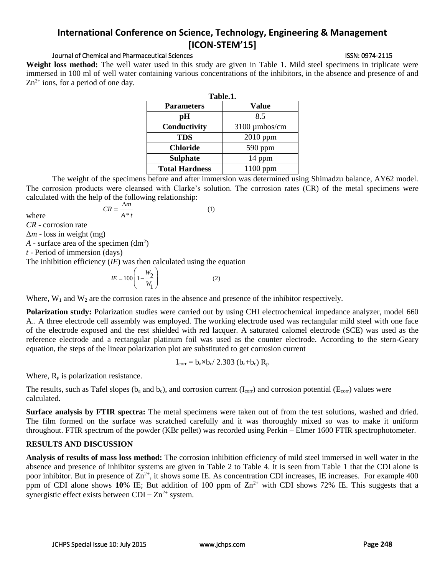#### Journal of Chemical and Pharmaceutical Sciences **ISSN: 0974-2115** ISSN: 0974-2115

**Weight loss method:** The well water used in this study are given in Table 1. Mild steel specimens in triplicate were immersed in 100 ml of well water containing various concentrations of the inhibitors, in the absence and presence of and  $Zn^{2+}$  ions, for a period of one day.

| Table.1.              |                     |  |
|-----------------------|---------------------|--|
| <b>Parameters</b>     | Value               |  |
| pН                    | 8.5                 |  |
| Conductivity          | $3100 \mu m$ hos/cm |  |
| <b>TDS</b>            | $2010$ ppm          |  |
| <b>Chloride</b>       | 590 ppm             |  |
| <b>Sulphate</b>       | 14 ppm              |  |
| <b>Total Hardness</b> | $1100$ ppm          |  |

The weight of the specimens before and after immersion was determined using Shimadzu balance, AY62 model. The corrosion products were cleansed with Clarke's solution. The corrosion rates (CR) of the metal specimens were calculated with the help of the following relationship:

$$
CR = \frac{\Delta m}{A * t} \tag{1}
$$

where

*CR* - corrosion rate

 $\Delta m$  - loss in weight (mg)  $A$  - surface area of the specimen  $(dm<sup>2</sup>)$ 

*t* - Period of immersion (days)

The inhibition efficiency (*IE*) was then calculated using the equation

 $100 \left( 1 - \frac{W_2}{W} \right)$  (2) 1  $IE = 100 \left( 1 - \frac{W_2}{W_1} \right)$ s then calculars the number of  $\left(1-\frac{W_2}{W_1}\right)$ 

Where,  $W_1$  and  $W_2$  are the corrosion rates in the absence and presence of the inhibitor respectively.

**Polarization study:** Polarization studies were carried out by using CHI electrochemical impedance analyzer, model 660 A.. A three electrode cell assembly was employed. The working electrode used was rectangular mild steel with one face of the electrode exposed and the rest shielded with red lacquer. A saturated calomel electrode (SCE) was used as the reference electrode and a rectangular platinum foil was used as the counter electrode. According to the stern-Geary equation, the steps of the linear polarization plot are substituted to get corrosion current

$$
I_{corr} = b_a \times b_c / 2.303 (b_a + b_c) R_p
$$

Where,  $R_p$  is polarization resistance.

The results, such as Tafel slopes ( $b_a$  and  $b_c$ ), and corrosion current ( $I_{\text{corr}}$ ) and corrosion potential ( $E_{\text{corr}}$ ) values were calculated.

**Surface analysis by FTIR spectra:** The metal specimens were taken out of from the test solutions, washed and dried. The film formed on the surface was scratched carefully and it was thoroughly mixed so was to make it uniform throughout. FTIR spectrum of the powder (KBr pellet) was recorded using Perkin – Elmer 1600 FTIR spectrophotometer.

#### **RESULTS AND DISCUSSION**

**Analysis of results of mass loss method:** The corrosion inhibition efficiency of mild steel immersed in well water in the absence and presence of inhibitor systems are given in Table 2 to Table 4. It is seen from Table 1 that the CDI alone is poor inhibitor. But in presence of  $\text{Zn}^{2+}$ , it shows some IE. As concentration CDI increases, IE increases. For example 400 ppm of CDI alone shows 10% IE; But addition of 100 ppm of  $Zn^{2+}$  with CDI shows 72% IE. This suggests that a synergistic effect exists between CDI –  $Zn^{2+}$  system.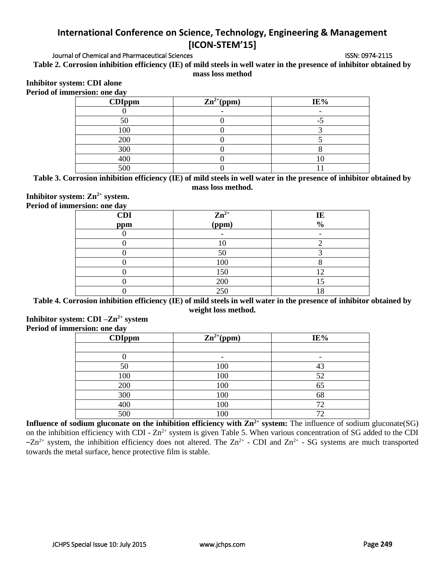Journal of Chemical and Pharmaceutical Sciences **ISSN: 0974-2115** ISSN: 0974-2115

**Table 2. Corrosion inhibition efficiency (IE) of mild steels in well water in the presence of inhibitor obtained by mass loss method**

**Inhibitor system: CDI alone Period of immersion: one day**

| <b>CDIppm</b> | $\mathbf{Zn}^{2+}(ppm)$ | IE% |
|---------------|-------------------------|-----|
|               |                         |     |
|               |                         |     |
| 100           |                         |     |
| 200           |                         |     |
| 300           |                         |     |
| 400           |                         |     |
| 500           |                         |     |

**Table 3. Corrosion inhibition efficiency (IE) of mild steels in well water in the presence of inhibitor obtained by mass loss method.**

**Inhibitor system: Zn2+ system. Period of immersion: one day**

| .<br><b>CDI</b> | $\frac{Zn^{2+}}{(ppm)}$ | IE            |
|-----------------|-------------------------|---------------|
| ppm             |                         | $\frac{0}{0}$ |
|                 |                         |               |
|                 | 10                      |               |
|                 | 50                      |               |
|                 | 100                     |               |
|                 | 150                     |               |
|                 | 200                     |               |
|                 | 250                     |               |

**Table 4. Corrosion inhibition efficiency (IE) of mild steels in well water in the presence of inhibitor obtained by weight loss method.**

| Inhibitor system: CDI –Zn <sup>2+</sup> system |  |
|------------------------------------------------|--|
| Period of immersion: one day                   |  |

| <b>CDIppm</b> | $\mathbf{Zn}^{2+}(ppm)$ | IE% |  |
|---------------|-------------------------|-----|--|
|               |                         |     |  |
|               | -                       |     |  |
| 50            | 100                     | 43  |  |
| 100           | 100                     | 52  |  |
| 200           | 100                     | 65  |  |
| 300           | 100                     | 68  |  |
| 400           | 100                     | 72  |  |
| 500           | 100                     | 70  |  |

**Influence of sodium gluconate on the inhibition efficiency with Zn2+ system:** The influence of sodium gluconate(SG) on the inhibition efficiency with CDI -  $Zn^{2+}$  system is given Table 5. When various concentration of SG added to the CDI  $-Zn^{2+}$  system, the inhibition efficiency does not altered. The  $Zn^{2+}$  - CDI and  $Zn^{2+}$  - SG systems are much transported towards the metal surface, hence protective film is stable.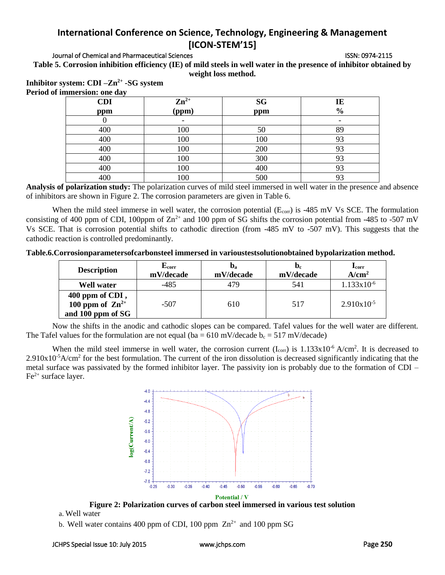Journal of Chemical and Pharmaceutical Sciences ISSN: 0974-2115

**Table 5. Corrosion inhibition efficiency (IE) of mild steels in well water in the presence of inhibitor obtained by weight loss method.**

| Inhibitor system: $CDI - Zn^{2+} - SG$ system |  |
|-----------------------------------------------|--|
| Period of immersion: one day                  |  |

| <b>CDI</b> |                         | <b>SG</b> | IE            |
|------------|-------------------------|-----------|---------------|
| ppm        | $\frac{Zn^{2+}}{(ppm)}$ | ppm       | $\frac{0}{0}$ |
|            |                         |           | -             |
| 400        | 100                     | 50        | 89            |
| 400        | 100                     | 100       | 93            |
| 400        | 100                     | 200       | 93            |
| 400        | 100                     | 300       | 93            |
| 400        | 100                     | 400       | 93            |
| 400        | 100                     | 500       | 93            |

**Analysis of polarization study:** The polarization curves of mild steel immersed in well water in the presence and absence of inhibitors are shown in Figure 2. The corrosion parameters are given in Table 6.

When the mild steel immerse in well water, the corrosion potential  $(E_{corr})$  is -485 mV Vs SCE. The formulation consisting of 400 ppm of CDI, 100ppm of  $Zn^{2+}$  and 100 ppm of SG shifts the corrosion potential from -485 to -507 mV Vs SCE. That is corrosion potential shifts to cathodic direction (from -485 mV to -507 mV). This suggests that the cathodic reaction is controlled predominantly.

**Table.6.Corrosionparametersofcarbonsteel immersed in varioustestsolutionobtained bypolarization method.** 

| <b>Description</b>                                                    | ${\rm E_{corr}}$<br>mV/decade | Dэ<br>mV/decade | b.<br>mV/decade | <b>L</b> corr<br>A/cm <sup>2</sup> |
|-----------------------------------------------------------------------|-------------------------------|-----------------|-----------------|------------------------------------|
| Well water                                                            | -485                          | 479             | 541             | $1.133 \times 10^{-6}$             |
| 400 ppm of CDI,<br>100 ppm of $\mathbb{Z}n^{2+}$<br>and 100 ppm of SG | $-507$                        | 610             | 517             | $2.910x10^{-5}$                    |

Now the shifts in the anodic and cathodic slopes can be compared. Tafel values for the well water are different. The Tafel values for the formulation are not equal (ba = 610 mV/decade b<sub>c</sub> = 517 mV/decade)

When the mild steel immerse in well water, the corrosion current  $(I_{\text{corr}})$  is  $1.133 \times 10^{-6}$  A/cm<sup>2</sup>. It is decreased to  $2.910x10<sup>-5</sup>A/cm<sup>2</sup>$  for the best formulation. The current of the iron dissolution is decreased significantly indicating that the metal surface was passivated by the formed inhibitor layer. The passivity ion is probably due to the formation of CDI –  $Fe<sup>2+</sup>$  surface layer.



**Figure 2: Polarization curves of carbon steel immersed in various test solution**

b. Well water contains 400 ppm of CDI, 100 ppm  $Zn^{2+}$  and 100 ppm SG

a. Well water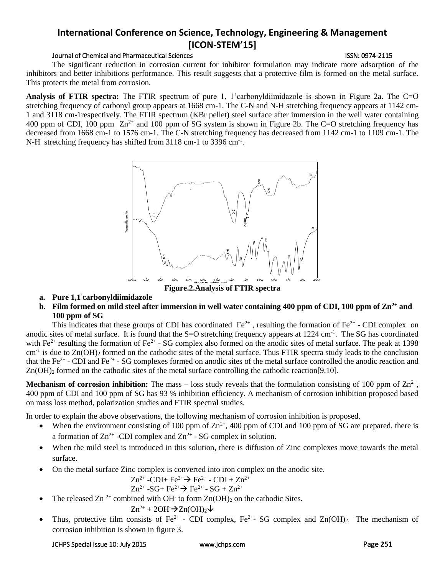#### Journal of Chemical and Pharmaceutical Sciences ISSN: 0974-2115

The significant reduction in corrosion current for inhibitor formulation may indicate more adsorption of the inhibitors and better inhibitions performance. This result suggests that a protective film is formed on the metal surface. This protects the metal from corrosion.

**Analysis of FTIR spectra:** The FTIR spectrum of pure 1, 1'carbonyldiimidazole is shown in Figure 2a. The C=O stretching frequency of carbonyl group appears at 1668 cm-1. The C-N and N-H stretching frequency appears at 1142 cm-1 and 3118 cm-1respectively. The FTIR spectrum (KBr pellet) steel surface after immersion in the well water containing 400 ppm of CDI, 100 ppm  $Zn^{2+}$  and 100 ppm of SG system is shown in Figure 2b. The C=O stretching frequency has decreased from 1668 cm-1 to 1576 cm-1. The C-N stretching frequency has decreased from 1142 cm-1 to 1109 cm-1. The N-H stretching frequency has shifted from 3118 cm-1 to 3396 cm<sup>-1</sup>.



**Figure.2.Analysis of FTIR spectra**

- **a. Pure 1,1' carbonyldiimidazole**
- **b. Film formed on mild steel after immersion in well water containing 400 ppm of CDI, 100 ppm of Zn2+ and 100 ppm of SG**

This indicates that these groups of CDI has coordinated  $Fe^{2+}$ , resulting the formation of  $Fe^{2+}$  - CDI complex on anodic sites of metal surface. It is found that the S=O stretching frequency appears at 1224 cm<sup>-1</sup>. The SG has coordinated with  $Fe^{2+}$  resulting the formation of  $Fe^{2+}$  - SG complex also formed on the anodic sites of metal surface. The peak at 1398  $cm<sup>-1</sup>$  is due to  $Zn(OH)_2$  formed on the cathodic sites of the metal surface. Thus FTIR spectra study leads to the conclusion that the  $Fe^{2+}$  - CDI and  $Fe^{2+}$  - SG complexes formed on anodic sites of the metal surface controlled the anodic reaction and  $Zn(OH)_2$  formed on the cathodic sites of the metal surface controlling the cathodic reaction[9,10].

**Mechanism of corrosion inhibition:** The mass  $-$  loss study reveals that the formulation consisting of 100 ppm of  $Zn^{2+}$ , 400 ppm of CDI and 100 ppm of SG has 93 % inhibition efficiency. A mechanism of corrosion inhibition proposed based on mass loss method, polarization studies and FTIR spectral studies.

In order to explain the above observations, the following mechanism of corrosion inhibition is proposed.

- When the environment consisting of 100 ppm of  $\text{Zn}^{2+}$ , 400 ppm of CDI and 100 ppm of SG are prepared, there is a formation of  $\text{Zn}^{2+}$  -CDI complex and  $\text{Zn}^{2+}$  - SG complex in solution.
- When the mild steel is introduced in this solution, there is diffusion of Zinc complexes move towards the metal surface.
- On the metal surface Zinc complex is converted into iron complex on the anodic site.

$$
Zn^{2+} - CDI + Fe^{2+} \rightarrow Fe^{2+} - CDI + Zn^{2+}
$$

$$
Zn^{2+} - SG + Fe^{2+} \rightarrow Fe^{2+} - SG + Zn^{2+}
$$

• The released  $\text{Zn}^{2+}$  combined with OH<sup>-</sup> to form  $\text{Zn}(\text{OH})_2$  on the cathodic Sites.

$$
Zn^{2+} + 2OH \rightarrow Zn(OH)_2 \rightarrow
$$

• Thus, protective film consists of Fe<sup>2+</sup> - CDI complex, Fe<sup>2+</sup>- SG complex and  $Zn(OH)<sub>2</sub>$ . The mechanism of corrosion inhibition is shown in figure 3.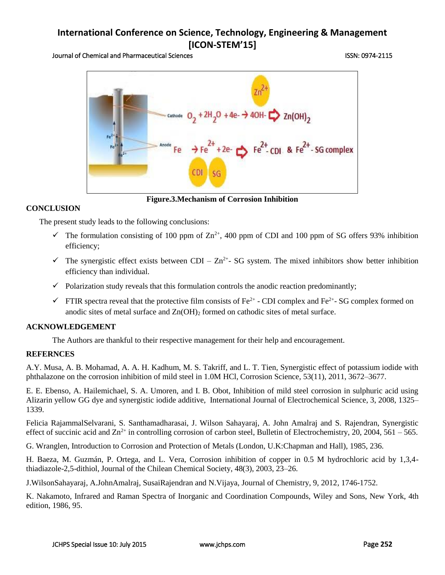Journal of Chemical and Pharmaceutical Sciences ISSN: 0974-2115



**Figure.3.Mechanism of Corrosion Inhibition**

#### **CONCLUSION**

The present study leads to the following conclusions:

- $\checkmark$  The formulation consisting of 100 ppm of  $\text{Zn}^{2+}$ , 400 ppm of CDI and 100 ppm of SG offers 93% inhibition efficiency;
- $\checkmark$  The synergistic effect exists between CDI Zn<sup>2+</sup>- SG system. The mixed inhibitors show better inhibition efficiency than individual.
- $\checkmark$  Polarization study reveals that this formulation controls the anodic reaction predominantly;
- $\checkmark$  FTIR spectra reveal that the protective film consists of Fe<sup>2+</sup> CDI complex and Fe<sup>2+</sup>- SG complex formed on anodic sites of metal surface and  $Zn(OH)_2$  formed on cathodic sites of metal surface.

#### **ACKNOWLEDGEMENT**

The Authors are thankful to their respective management for their help and encouragement.

## **REFERNCES**

A.Y. Musa, A. B. Mohamad, A. A. H. Kadhum, M. S. Takriff, and L. T. Tien, Synergistic effect of potassium iodide with phthalazone on the corrosion inhibition of mild steel in 1.0M HCl, Corrosion Science, 53(11), 2011, 3672–3677.

E. E. Ebenso, A. Hailemichael, S. A. Umoren, and I. B. Obot, Inhibition of mild steel corrosion in sulphuric acid using Alizarin yellow GG dye and synergistic iodide additive, International Journal of Electrochemical Science, 3, 2008, 1325– 1339.

Felicia RajammalSelvarani, S. Santhamadharasai, J. Wilson Sahayaraj, A. John Amalraj and S. Rajendran, Synergistic effect of succinic acid and  $Zn^{2+}$  in controlling corrosion of carbon steel, Bulletin of Electrochemistry, 20, 2004, 561 – 565.

G. Wranglen, Introduction to Corrosion and Protection of Metals (London, U.K:Chapman and Hall), 1985, 236.

H. Baeza, M. Guzmán, P. Ortega, and L. Vera, Corrosion inhibition of copper in 0.5 M hydrochloric acid by 1,3,4 thiadiazole-2,5-dithiol, Journal of the Chilean Chemical Society, 48(3), 2003, 23–26.

J.WilsonSahayaraj, A.JohnAmalraj, SusaiRajendran and N.Vijaya, Journal of Chemistry, 9, 2012, 1746-1752.

K. Nakamoto, Infrared and Raman Spectra of Inorganic and Coordination Compounds, Wiley and Sons, New York, 4th edition, 1986, 95.